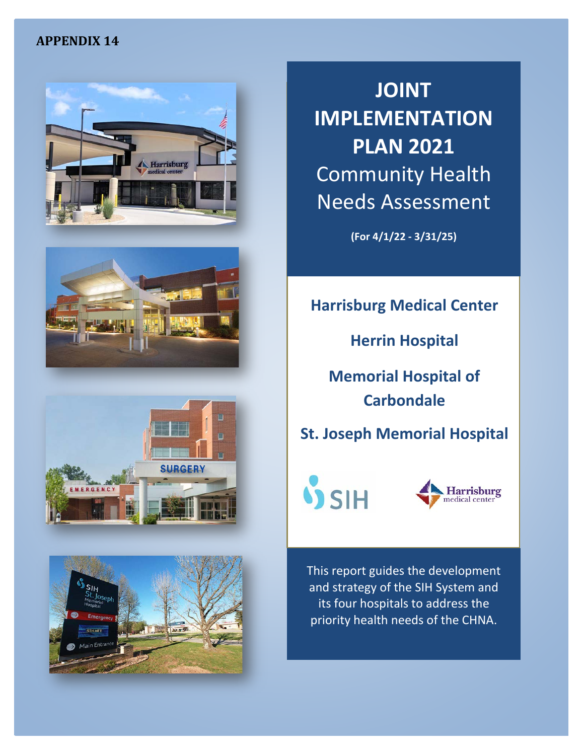# **APPENDIX 14**









**JOINT IMPLEMENTATION PLAN 2021** Community Health Needs Assessment

**(For 4/1/22 - 3/31/25)**

# **Harrisburg Medical Center**

**Herrin Hospital** 

**Memorial Hospital of Carbondale** 

**St. Joseph Memorial Hospital**





This report guides the development and strategy of the SIH System and its four hospitals to address the priority health needs of the CHNA.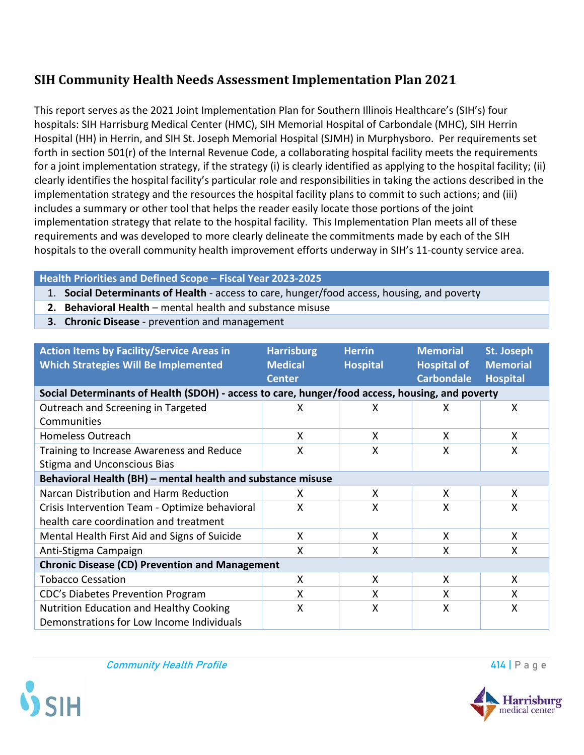# **SIH Community Health Needs Assessment Implementation Plan 2021**

This report serves as the 2021 Joint Implementation Plan for Southern Illinois Healthcare's (SIH's) four hospitals: SIH Harrisburg Medical Center (HMC), SIH Memorial Hospital of Carbondale (MHC), SIH Herrin Hospital (HH) in Herrin, and SIH St. Joseph Memorial Hospital (SJMH) in Murphysboro. Per requirements set forth in section 501(r) of the Internal Revenue Code, a collaborating hospital facility meets the requirements for a joint implementation strategy, if the strategy (i) is clearly identified as applying to the hospital facility; (ii) clearly identifies the hospital facility's particular role and responsibilities in taking the actions described in the implementation strategy and the resources the hospital facility plans to commit to such actions; and (iii) includes a summary or other tool that helps the reader easily locate those portions of the joint implementation strategy that relate to the hospital facility. This Implementation Plan meets all of these requirements and was developed to more clearly delineate the commitments made by each of the SIH hospitals to the overall community health improvement efforts underway in SIH's 11-county service area.

### **Health Priorities and Defined Scope – Fiscal Year 2023-2025**

- 1. **Social Determinants of Health** access to care, hunger/food access, housing, and poverty
- **2. Behavioral Health**  mental health and substance misuse
- **3. Chronic Disease**  prevention and management

| <b>Action Items by Facility/Service Areas in</b><br><b>Which Strategies Will Be Implemented</b> | <b>Harrisburg</b><br><b>Medical</b><br><b>Center</b> | <b>Herrin</b><br><b>Hospital</b> | <b>Memorial</b><br><b>Hospital of</b><br><b>Carbondale</b> | St. Joseph<br><b>Memorial</b><br><b>Hospital</b> |
|-------------------------------------------------------------------------------------------------|------------------------------------------------------|----------------------------------|------------------------------------------------------------|--------------------------------------------------|
| Social Determinants of Health (SDOH) - access to care, hunger/food access, housing, and poverty |                                                      |                                  |                                                            |                                                  |
| Outreach and Screening in Targeted<br>Communities                                               | X                                                    | x                                | X                                                          | X                                                |
| <b>Homeless Outreach</b>                                                                        | X                                                    | X                                | X                                                          | X                                                |
| Training to Increase Awareness and Reduce<br><b>Stigma and Unconscious Bias</b>                 | X                                                    | X                                | X                                                          | X                                                |
| Behavioral Health (BH) - mental health and substance misuse                                     |                                                      |                                  |                                                            |                                                  |
| Narcan Distribution and Harm Reduction                                                          | X                                                    | X                                | X                                                          | X                                                |
| Crisis Intervention Team - Optimize behavioral<br>health care coordination and treatment        | X                                                    | X                                | X                                                          | X                                                |
| Mental Health First Aid and Signs of Suicide                                                    | X                                                    | X                                | X                                                          | X                                                |
| Anti-Stigma Campaign                                                                            | X                                                    | X                                | X                                                          | X                                                |
| <b>Chronic Disease (CD) Prevention and Management</b>                                           |                                                      |                                  |                                                            |                                                  |
| <b>Tobacco Cessation</b>                                                                        | X                                                    | X                                | X                                                          | X                                                |
| CDC's Diabetes Prevention Program                                                               | X                                                    | X                                | X                                                          | X                                                |
| Nutrition Education and Healthy Cooking<br>Demonstrations for Low Income Individuals            | X                                                    | X                                | X                                                          | X                                                |

Community Health Profile **414** P a g e



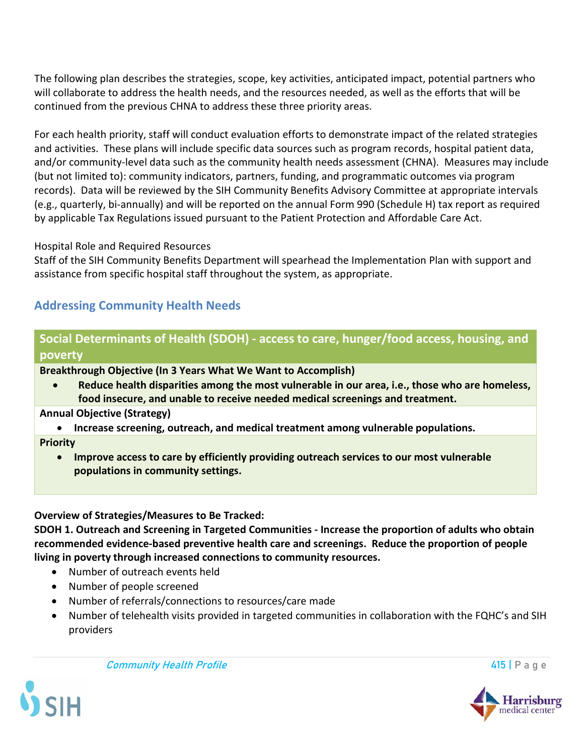The following plan describes the strategies, scope, key activities, anticipated impact, potential partners who will collaborate to address the health needs, and the resources needed, as well as the efforts that will be continued from the previous CHNA to address these three priority areas.

For each health priority, staff will conduct evaluation efforts to demonstrate impact of the related strategies and activities. These plans will include specific data sources such as program records, hospital patient data, and/or community-level data such as the community health needs assessment (CHNA). Measures may include (but not limited to): community indicators, partners, funding, and programmatic outcomes via program records). Data will be reviewed by the SIH Community Benefits Advisory Committee at appropriate intervals (e.g., quarterly, bi-annually) and will be reported on the annual Form 990 (Schedule H) tax report as required by applicable Tax Regulations issued pursuant to the Patient Protection and Affordable Care Act.

### Hospital Role and Required Resources

Staff of the SIH Community Benefits Department will spearhead the Implementation Plan with support and assistance from specific hospital staff throughout the system, as appropriate.

# **Addressing Community Health Needs**

# **Social Determinants of Health (SDOH) - access to care, hunger/food access, housing, and poverty**

**Breakthrough Objective (In 3 Years What We Want to Accomplish)**

• **Reduce health disparities among the most vulnerable in our area, i.e., those who are homeless, food insecure, and unable to receive needed medical screenings and treatment.**

### **Annual Objective (Strategy)**

• **Increase screening, outreach, and medical treatment among vulnerable populations.** 

#### **Priority**

• **Improve access to care by efficiently providing outreach services to our most vulnerable populations in community settings.**

### **Overview of Strategies/Measures to Be Tracked:**

**SDOH 1. Outreach and Screening in Targeted Communities - Increase the proportion of adults who obtain recommended evidence-based preventive health care and screenings. Reduce the proportion of people living in poverty through increased connections to community resources.**

- Number of outreach events held
- Number of people screened
- Number of referrals/connections to resources/care made
- Number of telehealth visits provided in targeted communities in collaboration with the FQHC's and SIH providers

**Community Health Profile 415 | Page 415 | Page 415 | Page 416 | Page 416 | Page 416 | Page 416 | Page 416 | Page 416 | Page 416 | Page 416 | Page 416 | Page 416 | Page 416 | Page 416 | Page 416 | Page 416 | Page 416 | Pag** 



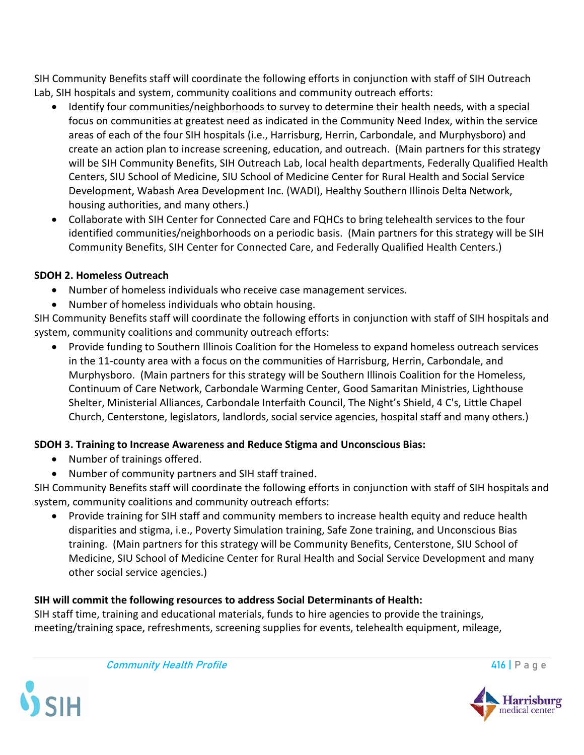SIH Community Benefits staff will coordinate the following efforts in conjunction with staff of SIH Outreach Lab, SIH hospitals and system, community coalitions and community outreach efforts:

- Identify four communities/neighborhoods to survey to determine their health needs, with a special focus on communities at greatest need as indicated in the Community Need Index, within the service areas of each of the four SIH hospitals (i.e., Harrisburg, Herrin, Carbondale, and Murphysboro) and create an action plan to increase screening, education, and outreach. (Main partners for this strategy will be SIH Community Benefits, SIH Outreach Lab, local health departments, Federally Qualified Health Centers, SIU School of Medicine, SIU School of Medicine Center for Rural Health and Social Service Development, Wabash Area Development Inc. (WADI), Healthy Southern Illinois Delta Network, housing authorities, and many others.)
- Collaborate with SIH Center for Connected Care and FQHCs to bring telehealth services to the four identified communities/neighborhoods on a periodic basis. (Main partners for this strategy will be SIH Community Benefits, SIH Center for Connected Care, and Federally Qualified Health Centers.)

### **SDOH 2. Homeless Outreach**

- Number of homeless individuals who receive case management services.
- Number of homeless individuals who obtain housing.

SIH Community Benefits staff will coordinate the following efforts in conjunction with staff of SIH hospitals and system, community coalitions and community outreach efforts:

• Provide funding to Southern Illinois Coalition for the Homeless to expand homeless outreach services in the 11-county area with a focus on the communities of Harrisburg, Herrin, Carbondale, and Murphysboro. (Main partners for this strategy will be Southern Illinois Coalition for the Homeless, Continuum of Care Network, Carbondale Warming Center, Good Samaritan Ministries, Lighthouse Shelter, Ministerial Alliances, Carbondale Interfaith Council, The Night's Shield, 4 C's, Little Chapel Church, Centerstone, legislators, landlords, social service agencies, hospital staff and many others.)

## **SDOH 3. Training to Increase Awareness and Reduce Stigma and Unconscious Bias:**

- Number of trainings offered.
- Number of community partners and SIH staff trained.

SIH Community Benefits staff will coordinate the following efforts in conjunction with staff of SIH hospitals and system, community coalitions and community outreach efforts:

• Provide training for SIH staff and community members to increase health equity and reduce health disparities and stigma, i.e., Poverty Simulation training, Safe Zone training, and Unconscious Bias training. (Main partners for this strategy will be Community Benefits, Centerstone, SIU School of Medicine, SIU School of Medicine Center for Rural Health and Social Service Development and many other social service agencies.)

## **SIH will commit the following resources to address Social Determinants of Health:**

SIH staff time, training and educational materials, funds to hire agencies to provide the trainings, meeting/training space, refreshments, screening supplies for events, telehealth equipment, mileage,

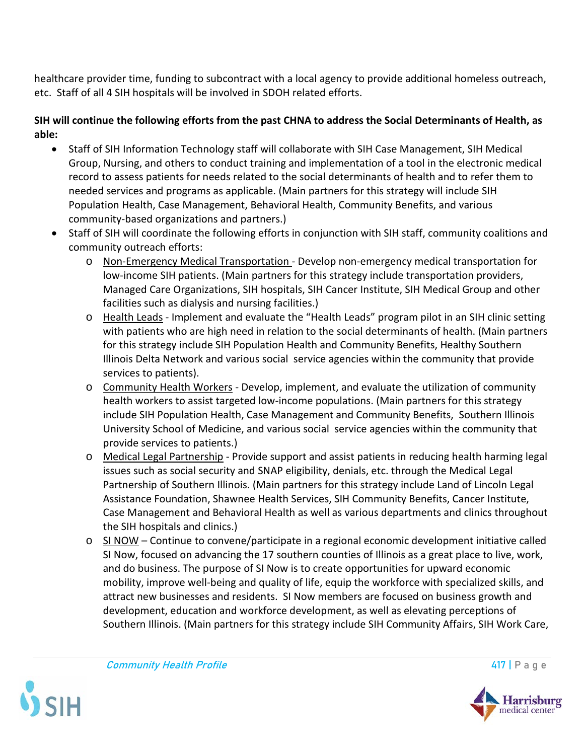healthcare provider time, funding to subcontract with a local agency to provide additional homeless outreach, etc. Staff of all 4 SIH hospitals will be involved in SDOH related efforts.

### **SIH will continue the following efforts from the past CHNA to address the Social Determinants of Health, as able:**

- Staff of SIH Information Technology staff will collaborate with SIH Case Management, SIH Medical Group, Nursing, and others to conduct training and implementation of a tool in the electronic medical record to assess patients for needs related to the social determinants of health and to refer them to needed services and programs as applicable. (Main partners for this strategy will include SIH Population Health, Case Management, Behavioral Health, Community Benefits, and various community-based organizations and partners.)
- Staff of SIH will coordinate the following efforts in conjunction with SIH staff, community coalitions and community outreach efforts:
	- o Non-Emergency Medical Transportation Develop non-emergency medical transportation for low-income SIH patients. (Main partners for this strategy include transportation providers, Managed Care Organizations, SIH hospitals, SIH Cancer Institute, SIH Medical Group and other facilities such as dialysis and nursing facilities.)
	- o Health Leads Implement and evaluate the "Health Leads" program pilot in an SIH clinic setting with patients who are high need in relation to the social determinants of health. (Main partners for this strategy include SIH Population Health and Community Benefits, Healthy Southern Illinois Delta Network and various social service agencies within the community that provide services to patients).
	- o Community Health Workers Develop, implement, and evaluate the utilization of community health workers to assist targeted low-income populations. (Main partners for this strategy include SIH Population Health, Case Management and Community Benefits, Southern Illinois University School of Medicine, and various social service agencies within the community that provide services to patients.)
	- o Medical Legal Partnership Provide support and assist patients in reducing health harming legal issues such as social security and SNAP eligibility, denials, etc. through the Medical Legal Partnership of Southern Illinois. (Main partners for this strategy include Land of Lincoln Legal Assistance Foundation, Shawnee Health Services, SIH Community Benefits, Cancer Institute, Case Management and Behavioral Health as well as various departments and clinics throughout the SIH hospitals and clinics.)
	- $\circ$  SI NOW Continue to convene/participate in a regional economic development initiative called SI Now, focused on advancing the 17 southern counties of Illinois as a great place to live, work, and do business. The purpose of SI Now is to create opportunities for upward economic mobility, improve well-being and quality of life, equip the workforce with specialized skills, and attract new businesses and residents. SI Now members are focused on business growth and development, education and workforce development, as well as elevating perceptions of Southern Illinois. (Main partners for this strategy include SIH Community Affairs, SIH Work Care,



**Community Health Profile** 417 | P a g e



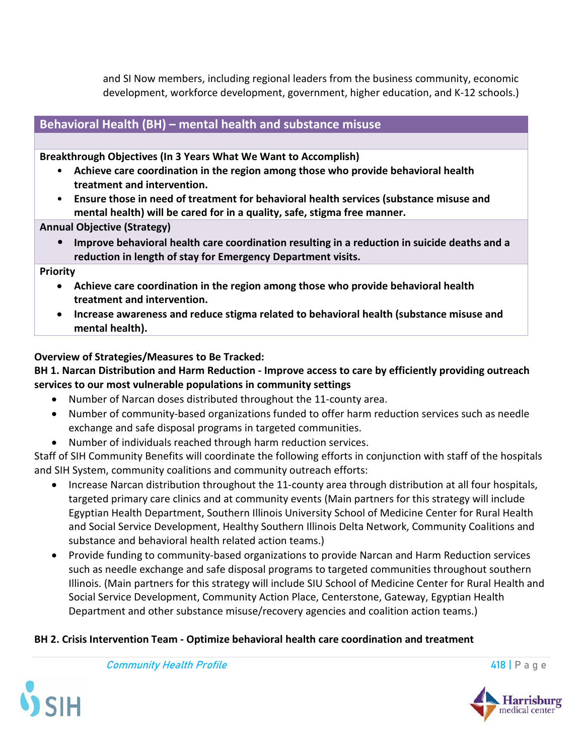and SI Now members, including regional leaders from the business community, economic development, workforce development, government, higher education, and K-12 schools.)

# **Behavioral Health (BH) – mental health and substance misuse**

**Breakthrough Objectives (In 3 Years What We Want to Accomplish)**

- **Achieve care coordination in the region among those who provide behavioral health treatment and intervention.**
- **Ensure those in need of treatment for behavioral health services (substance misuse and mental health) will be cared for in a quality, safe, stigma free manner.**

**Annual Objective (Strategy)**

• **Improve behavioral health care coordination resulting in a reduction in suicide deaths and a reduction in length of stay for Emergency Department visits.** 

**Priority**

- **Achieve care coordination in the region among those who provide behavioral health treatment and intervention.**
- **Increase awareness and reduce stigma related to behavioral health (substance misuse and mental health).**

**Overview of Strategies/Measures to Be Tracked:**

### **BH 1. Narcan Distribution and Harm Reduction - Improve access to care by efficiently providing outreach services to our most vulnerable populations in community settings**

- Number of Narcan doses distributed throughout the 11-county area.
- Number of community-based organizations funded to offer harm reduction services such as needle exchange and safe disposal programs in targeted communities.
- Number of individuals reached through harm reduction services.

Staff of SIH Community Benefits will coordinate the following efforts in conjunction with staff of the hospitals and SIH System, community coalitions and community outreach efforts:

- Increase Narcan distribution throughout the 11-county area through distribution at all four hospitals, targeted primary care clinics and at community events (Main partners for this strategy will include Egyptian Health Department, Southern Illinois University School of Medicine Center for Rural Health and Social Service Development, Healthy Southern Illinois Delta Network, Community Coalitions and substance and behavioral health related action teams.)
- Provide funding to community-based organizations to provide Narcan and Harm Reduction services such as needle exchange and safe disposal programs to targeted communities throughout southern Illinois. (Main partners for this strategy will include SIU School of Medicine Center for Rural Health and Social Service Development, Community Action Place, Centerstone, Gateway, Egyptian Health Department and other substance misuse/recovery agencies and coalition action teams.)

# **BH 2. Crisis Intervention Team - Optimize behavioral health care coordination and treatment**



**Community Health Profile 2008 Community Health Profile** 418 | P a g e

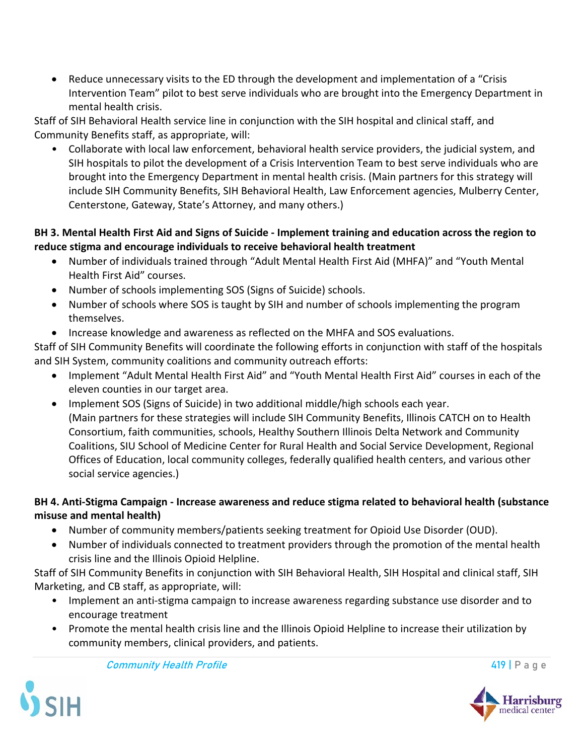• Reduce unnecessary visits to the ED through the development and implementation of a "Crisis Intervention Team" pilot to best serve individuals who are brought into the Emergency Department in mental health crisis.

Staff of SIH Behavioral Health service line in conjunction with the SIH hospital and clinical staff, and Community Benefits staff, as appropriate, will:

• Collaborate with local law enforcement, behavioral health service providers, the judicial system, and SIH hospitals to pilot the development of a Crisis Intervention Team to best serve individuals who are brought into the Emergency Department in mental health crisis. (Main partners for this strategy will include SIH Community Benefits, SIH Behavioral Health, Law Enforcement agencies, Mulberry Center, Centerstone, Gateway, State's Attorney, and many others.)

## **BH 3. Mental Health First Aid and Signs of Suicide - Implement training and education across the region to reduce stigma and encourage individuals to receive behavioral health treatment**

- Number of individuals trained through "Adult Mental Health First Aid (MHFA)" and "Youth Mental Health First Aid" courses.
- Number of schools implementing SOS (Signs of Suicide) schools.
- Number of schools where SOS is taught by SIH and number of schools implementing the program themselves.
- Increase knowledge and awareness as reflected on the MHFA and SOS evaluations.

Staff of SIH Community Benefits will coordinate the following efforts in conjunction with staff of the hospitals and SIH System, community coalitions and community outreach efforts:

- Implement "Adult Mental Health First Aid" and "Youth Mental Health First Aid" courses in each of the eleven counties in our target area.
- Implement SOS (Signs of Suicide) in two additional middle/high schools each year. (Main partners for these strategies will include SIH Community Benefits, Illinois CATCH on to Health Consortium, faith communities, schools, Healthy Southern Illinois Delta Network and Community Coalitions, SIU School of Medicine Center for Rural Health and Social Service Development, Regional Offices of Education, local community colleges, federally qualified health centers, and various other social service agencies.)

## **BH 4. Anti-Stigma Campaign - Increase awareness and reduce stigma related to behavioral health (substance misuse and mental health)**

- Number of community members/patients seeking treatment for Opioid Use Disorder (OUD).
- Number of individuals connected to treatment providers through the promotion of the mental health crisis line and the Illinois Opioid Helpline.

Staff of SIH Community Benefits in conjunction with SIH Behavioral Health, SIH Hospital and clinical staff, SIH Marketing, and CB staff, as appropriate, will:

- Implement an anti-stigma campaign to increase awareness regarding substance use disorder and to encourage treatment
- Promote the mental health crisis line and the Illinois Opioid Helpline to increase their utilization by community members, clinical providers, and patients.





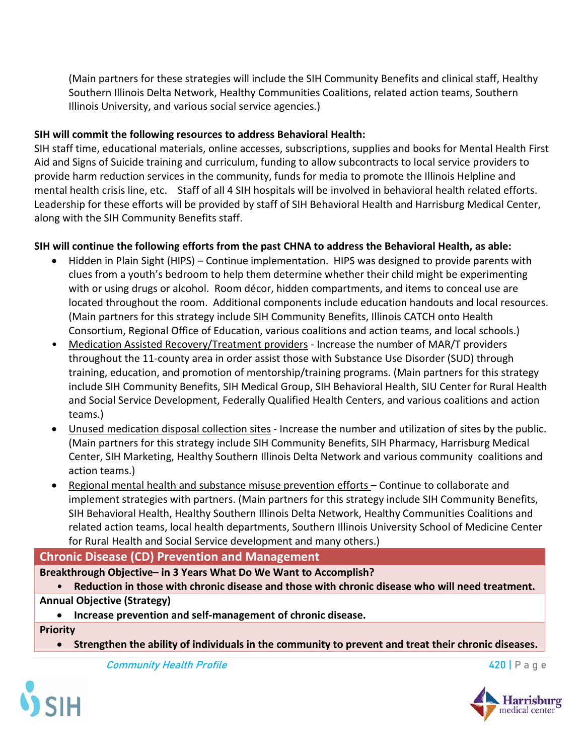(Main partners for these strategies will include the SIH Community Benefits and clinical staff, Healthy Southern Illinois Delta Network, Healthy Communities Coalitions, related action teams, Southern Illinois University, and various social service agencies.)

### **SIH will commit the following resources to address Behavioral Health:**

SIH staff time, educational materials, online accesses, subscriptions, supplies and books for Mental Health First Aid and Signs of Suicide training and curriculum, funding to allow subcontracts to local service providers to provide harm reduction services in the community, funds for media to promote the Illinois Helpline and mental health crisis line, etc. Staff of all 4 SIH hospitals will be involved in behavioral health related efforts. Leadership for these efforts will be provided by staff of SIH Behavioral Health and Harrisburg Medical Center, along with the SIH Community Benefits staff.

### **SIH will continue the following efforts from the past CHNA to address the Behavioral Health, as able:**

- Hidden in Plain Sight (HIPS) Continue implementation. HIPS was designed to provide parents with clues from a youth's bedroom to help them determine whether their child might be experimenting with or using drugs or alcohol. Room décor, hidden compartments, and items to conceal use are located throughout the room. Additional components include education handouts and local resources. (Main partners for this strategy include SIH Community Benefits, Illinois CATCH onto Health Consortium, Regional Office of Education, various coalitions and action teams, and local schools.)
- Medication Assisted Recovery/Treatment providers Increase the number of MAR/T providers throughout the 11-county area in order assist those with Substance Use Disorder (SUD) through training, education, and promotion of mentorship/training programs. (Main partners for this strategy include SIH Community Benefits, SIH Medical Group, SIH Behavioral Health, SIU Center for Rural Health and Social Service Development, Federally Qualified Health Centers, and various coalitions and action teams.)
- Unused medication disposal collection sites Increase the number and utilization of sites by the public. (Main partners for this strategy include SIH Community Benefits, SIH Pharmacy, Harrisburg Medical Center, SIH Marketing, Healthy Southern Illinois Delta Network and various community coalitions and action teams.)
- Regional mental health and substance misuse prevention efforts Continue to collaborate and implement strategies with partners. (Main partners for this strategy include SIH Community Benefits, SIH Behavioral Health, Healthy Southern Illinois Delta Network, Healthy Communities Coalitions and related action teams, local health departments, Southern Illinois University School of Medicine Center for Rural Health and Social Service development and many others.)

## **Chronic Disease (CD) Prevention and Management**

**Breakthrough Objective– in 3 Years What Do We Want to Accomplish?**

• **Reduction in those with chronic disease and those with chronic disease who will need treatment.**

### **Annual Objective (Strategy)**

• **Increase prevention and self-management of chronic disease.**

**Priority**

• **Strengthen the ability of individuals in the community to prevent and treat their chronic diseases.**

**Community Health Profile 420 | Page 420 | Page 420 | Page 420 | Page 420 | Page 420 | Page 420 | Page 420 | Page 420 | Page 420 | Page 420 | Page 420 | Page 420 | Page 420 | Page 420 | Page 420 | Page 420 | Page 420 | Pag** 





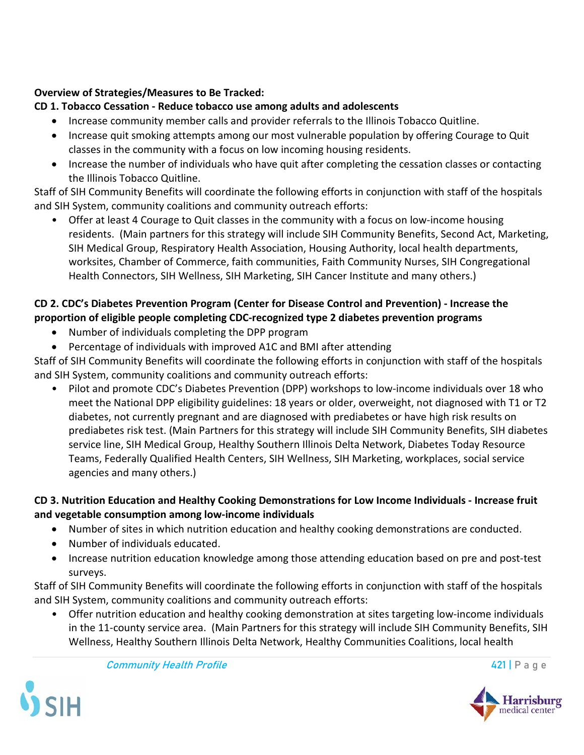# **Overview of Strategies/Measures to Be Tracked:**

# **CD 1. Tobacco Cessation - Reduce tobacco use among adults and adolescents**

- Increase community member calls and provider referrals to the Illinois Tobacco Quitline.
- Increase quit smoking attempts among our most vulnerable population by offering Courage to Quit classes in the community with a focus on low incoming housing residents.
- Increase the number of individuals who have quit after completing the cessation classes or contacting the Illinois Tobacco Quitline.

Staff of SIH Community Benefits will coordinate the following efforts in conjunction with staff of the hospitals and SIH System, community coalitions and community outreach efforts:

• Offer at least 4 Courage to Quit classes in the community with a focus on low-income housing residents. (Main partners for this strategy will include SIH Community Benefits, Second Act, Marketing, SIH Medical Group, Respiratory Health Association, Housing Authority, local health departments, worksites, Chamber of Commerce, faith communities, Faith Community Nurses, SIH Congregational Health Connectors, SIH Wellness, SIH Marketing, SIH Cancer Institute and many others.)

# **CD 2. CDC's Diabetes Prevention Program (Center for Disease Control and Prevention) - Increase the proportion of eligible people completing CDC-recognized type 2 diabetes prevention programs**

- Number of individuals completing the DPP program
- Percentage of individuals with improved A1C and BMI after attending

Staff of SIH Community Benefits will coordinate the following efforts in conjunction with staff of the hospitals and SIH System, community coalitions and community outreach efforts:

• Pilot and promote CDC's Diabetes Prevention (DPP) workshops to low-income individuals over 18 who meet the National DPP eligibility guidelines: 18 years or older, overweight, not diagnosed with T1 or T2 diabetes, not currently pregnant and are diagnosed with prediabetes or have high risk results on prediabetes risk test. (Main Partners for this strategy will include SIH Community Benefits, SIH diabetes service line, SIH Medical Group, Healthy Southern Illinois Delta Network, Diabetes Today Resource Teams, Federally Qualified Health Centers, SIH Wellness, SIH Marketing, workplaces, social service agencies and many others.)

# **CD 3. Nutrition Education and Healthy Cooking Demonstrations for Low Income Individuals - Increase fruit and vegetable consumption among low-income individuals**

- Number of sites in which nutrition education and healthy cooking demonstrations are conducted.
- Number of individuals educated.
- Increase nutrition education knowledge among those attending education based on pre and post-test surveys.

Staff of SIH Community Benefits will coordinate the following efforts in conjunction with staff of the hospitals and SIH System, community coalitions and community outreach efforts:

• Offer nutrition education and healthy cooking demonstration at sites targeting low-income individuals in the 11-county service area. (Main Partners for this strategy will include SIH Community Benefits, SIH Wellness, Healthy Southern Illinois Delta Network, Healthy Communities Coalitions, local health





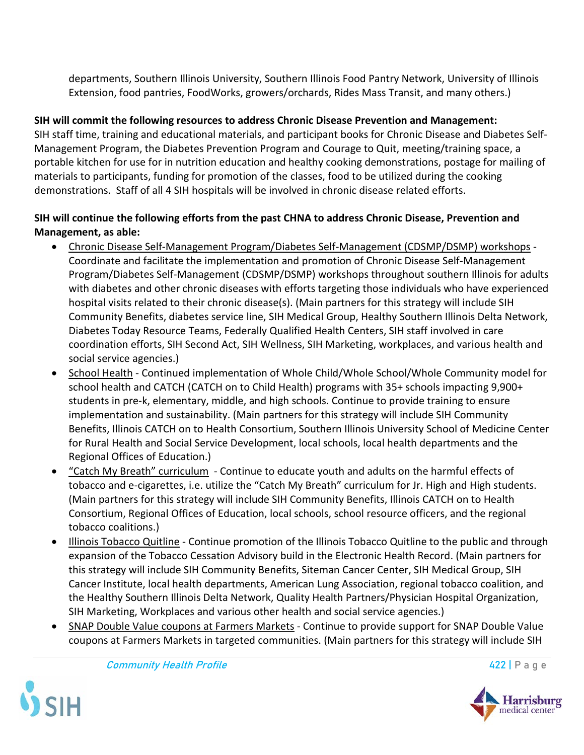departments, Southern Illinois University, Southern Illinois Food Pantry Network, University of Illinois Extension, food pantries, FoodWorks, growers/orchards, Rides Mass Transit, and many others.)

## **SIH will commit the following resources to address Chronic Disease Prevention and Management:**

SIH staff time, training and educational materials, and participant books for Chronic Disease and Diabetes Self-Management Program, the Diabetes Prevention Program and Courage to Quit, meeting/training space, a portable kitchen for use for in nutrition education and healthy cooking demonstrations, postage for mailing of materials to participants, funding for promotion of the classes, food to be utilized during the cooking demonstrations. Staff of all 4 SIH hospitals will be involved in chronic disease related efforts.

## **SIH will continue the following efforts from the past CHNA to address Chronic Disease, Prevention and Management, as able:**

- Chronic Disease Self-Management Program/Diabetes Self-Management (CDSMP/DSMP) workshops Coordinate and facilitate the implementation and promotion of Chronic Disease Self-Management Program/Diabetes Self-Management (CDSMP/DSMP) workshops throughout southern Illinois for adults with diabetes and other chronic diseases with efforts targeting those individuals who have experienced hospital visits related to their chronic disease(s). (Main partners for this strategy will include SIH Community Benefits, diabetes service line, SIH Medical Group, Healthy Southern Illinois Delta Network, Diabetes Today Resource Teams, Federally Qualified Health Centers, SIH staff involved in care coordination efforts, SIH Second Act, SIH Wellness, SIH Marketing, workplaces, and various health and social service agencies.)
- School Health Continued implementation of Whole Child/Whole School/Whole Community model for school health and CATCH (CATCH on to Child Health) programs with 35+ schools impacting 9,900+ students in pre-k, elementary, middle, and high schools. Continue to provide training to ensure implementation and sustainability. (Main partners for this strategy will include SIH Community Benefits, Illinois CATCH on to Health Consortium, Southern Illinois University School of Medicine Center for Rural Health and Social Service Development, local schools, local health departments and the Regional Offices of Education.)
- "Catch My Breath" curriculum Continue to educate youth and adults on the harmful effects of tobacco and e-cigarettes, i.e. utilize the "Catch My Breath" curriculum for Jr. High and High students. (Main partners for this strategy will include SIH Community Benefits, Illinois CATCH on to Health Consortium, Regional Offices of Education, local schools, school resource officers, and the regional tobacco coalitions.)
- Illinois Tobacco Quitline Continue promotion of the Illinois Tobacco Quitline to the public and through expansion of the Tobacco Cessation Advisory build in the Electronic Health Record. (Main partners for this strategy will include SIH Community Benefits, Siteman Cancer Center, SIH Medical Group, SIH Cancer Institute, local health departments, American Lung Association, regional tobacco coalition, and the Healthy Southern Illinois Delta Network, Quality Health Partners/Physician Hospital Organization, SIH Marketing, Workplaces and various other health and social service agencies.)
- SNAP Double Value coupons at Farmers Markets Continue to provide support for SNAP Double Value coupons at Farmers Markets in targeted communities. (Main partners for this strategy will include SIH



Community Health Profile **6. The Community Health Profile** 422 | P a g e